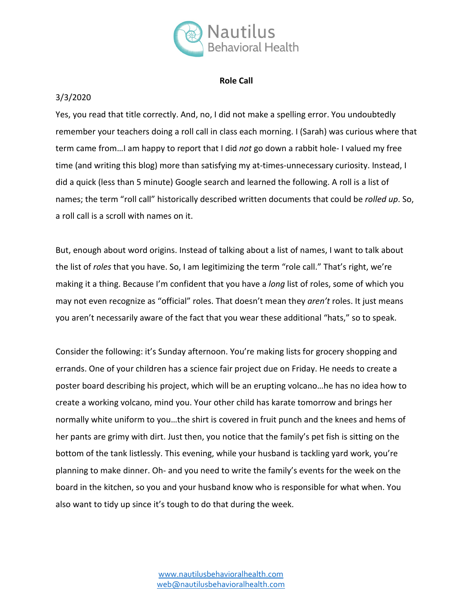

## **Role Call**

## 3/3/2020

Yes, you read that title correctly. And, no, I did not make a spelling error. You undoubtedly remember your teachers doing a roll call in class each morning. I (Sarah) was curious where that term came from…I am happy to report that I did *not* go down a rabbit hole- I valued my free time (and writing this blog) more than satisfying my at-times-unnecessary curiosity. Instead, I did a quick (less than 5 minute) Google search and learned the following. A roll is a list of names; the term "roll call" historically described written documents that could be *rolled up*. So, a roll call is a scroll with names on it.

But, enough about word origins. Instead of talking about a list of names, I want to talk about the list of *roles* that you have. So, I am legitimizing the term "role call." That's right, we're making it a thing. Because I'm confident that you have a *long* list of roles, some of which you may not even recognize as "official" roles. That doesn't mean they *aren't* roles. It just means you aren't necessarily aware of the fact that you wear these additional "hats," so to speak.

Consider the following: it's Sunday afternoon. You're making lists for grocery shopping and errands. One of your children has a science fair project due on Friday. He needs to create a poster board describing his project, which will be an erupting volcano…he has no idea how to create a working volcano, mind you. Your other child has karate tomorrow and brings her normally white uniform to you…the shirt is covered in fruit punch and the knees and hems of her pants are grimy with dirt. Just then, you notice that the family's pet fish is sitting on the bottom of the tank listlessly. This evening, while your husband is tackling yard work, you're planning to make dinner. Oh- and you need to write the family's events for the week on the board in the kitchen, so you and your husband know who is responsible for what when. You also want to tidy up since it's tough to do that during the week.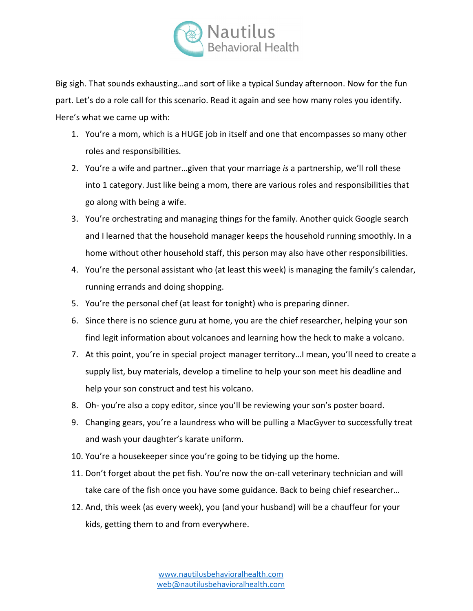

Big sigh. That sounds exhausting…and sort of like a typical Sunday afternoon. Now for the fun part. Let's do a role call for this scenario. Read it again and see how many roles you identify. Here's what we came up with:

- 1. You're a mom, which is a HUGE job in itself and one that encompasses so many other roles and responsibilities.
- 2. You're a wife and partner…given that your marriage *is* a partnership, we'll roll these into 1 category. Just like being a mom, there are various roles and responsibilities that go along with being a wife.
- 3. You're orchestrating and managing things for the family. Another quick Google search and I learned that the household manager keeps the household running smoothly. In a home without other household staff, this person may also have other responsibilities.
- 4. You're the personal assistant who (at least this week) is managing the family's calendar, running errands and doing shopping.
- 5. You're the personal chef (at least for tonight) who is preparing dinner.
- 6. Since there is no science guru at home, you are the chief researcher, helping your son find legit information about volcanoes and learning how the heck to make a volcano.
- 7. At this point, you're in special project manager territory…I mean, you'll need to create a supply list, buy materials, develop a timeline to help your son meet his deadline and help your son construct and test his volcano.
- 8. Oh- you're also a copy editor, since you'll be reviewing your son's poster board.
- 9. Changing gears, you're a laundress who will be pulling a MacGyver to successfully treat and wash your daughter's karate uniform.
- 10. You're a housekeeper since you're going to be tidying up the home.
- 11. Don't forget about the pet fish. You're now the on-call veterinary technician and will take care of the fish once you have some guidance. Back to being chief researcher…
- 12. And, this week (as every week), you (and your husband) will be a chauffeur for your kids, getting them to and from everywhere.